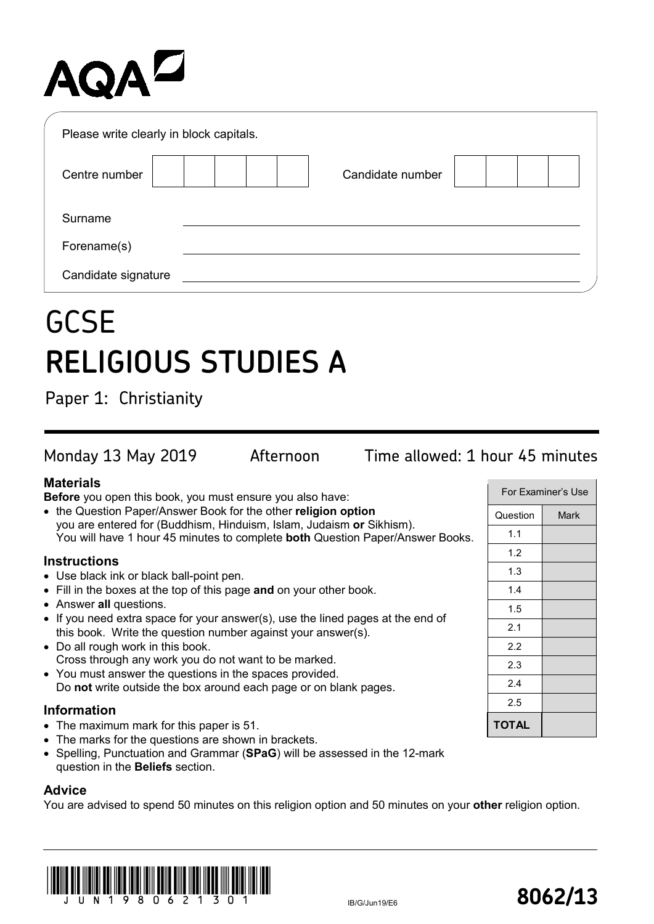# AQA<sup>D</sup>

| Please write clearly in block capitals. |                  |  |
|-----------------------------------------|------------------|--|
| Centre number                           | Candidate number |  |
| Surname                                 |                  |  |
| Forename(s)                             |                  |  |
| Candidate signature                     |                  |  |

# GCSE **RELIGIOUS STUDIES A**

Paper 1: Christianity

Monday 13 May 2019 Afternoon Time allowed: 1 hour 45 minutes

#### **Materials**

**Before** you open this book, you must ensure you also have:

• the Question Paper/Answer Book for the other **religion option** you are entered for (Buddhism, Hinduism, Islam, Judaism **or** Sikhism). You will have 1 hour 45 minutes to complete **both** Question Paper/Answer Books.

#### **Instructions**

- Use black ink or black ball-point pen.
- Fill in the boxes at the top of this page **and** on your other book.
- Answer **all** questions.
- If you need extra space for your answer(s), use the lined pages at the end of this book. Write the question number against your answer(s).
- Do all rough work in this book. Cross through any work you do not want to be marked.
- You must answer the questions in the spaces provided.
- Do **not** write outside the box around each page or on blank pages.

## **Information**

- The maximum mark for this paper is 51.
- The marks for the questions are shown in brackets.
- Spelling, Punctuation and Grammar (**SPaG**) will be assessed in the 12-mark question in the **Beliefs** section.

### **Advice**

You are advised to spend 50 minutes on this religion option and 50 minutes on your **other** religion option.



| For Examiner's Use |      |  |
|--------------------|------|--|
| Question           | Mark |  |
| 1.1                |      |  |
| 1.2                |      |  |
| 1.3                |      |  |
| 1.4                |      |  |
| 1.5                |      |  |
| 2.1                |      |  |
| 2.2                |      |  |
| 2.3                |      |  |
| 2.4                |      |  |
| 2.5                |      |  |
| TOTAL              |      |  |



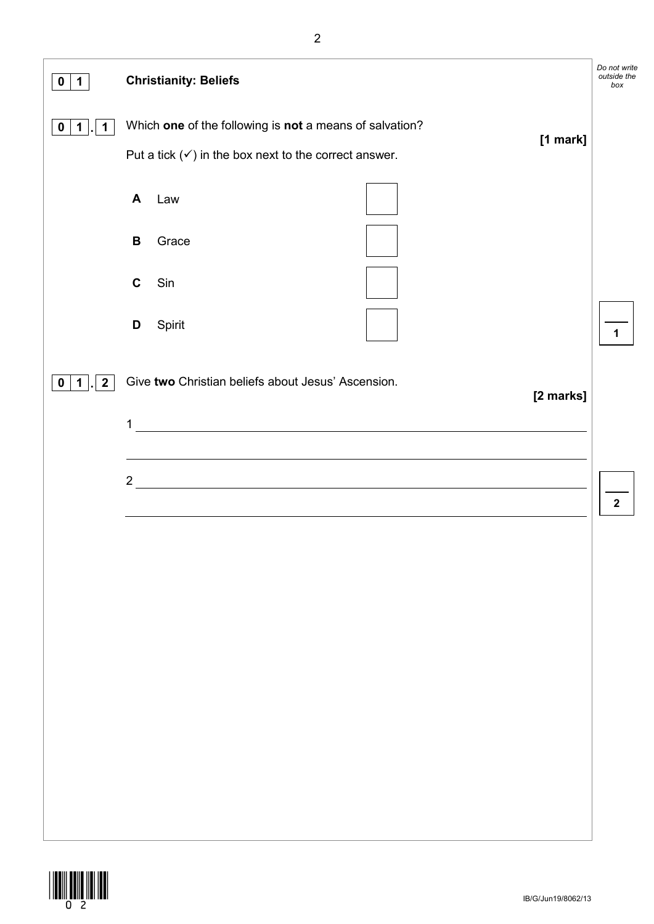| $\mathbf 1$<br>$\mathbf 0$                 | <b>Christianity: Beliefs</b>                                                                                                            | Do not write<br>outside the<br>box |
|--------------------------------------------|-----------------------------------------------------------------------------------------------------------------------------------------|------------------------------------|
| $\mathbf 0$<br>$\mathbf 1$<br>$\mathbf 1$  | Which one of the following is not a means of salvation?<br>[1 mark]<br>Put a tick $(\checkmark)$ in the box next to the correct answer. |                                    |
|                                            | A<br>Law                                                                                                                                |                                    |
|                                            | Grace<br>B                                                                                                                              |                                    |
|                                            | $\mathbf c$<br>Sin<br>Spirit<br>D                                                                                                       |                                    |
|                                            | Give two Christian beliefs about Jesus' Ascension.                                                                                      | 1                                  |
| $\mathbf{2}$<br>$\mathbf 0$<br>$\mathbf 1$ | [2 marks]<br>1                                                                                                                          |                                    |
|                                            |                                                                                                                                         |                                    |
|                                            |                                                                                                                                         | $\mathbf{2}$                       |
|                                            |                                                                                                                                         |                                    |
|                                            |                                                                                                                                         |                                    |
|                                            |                                                                                                                                         |                                    |
|                                            |                                                                                                                                         |                                    |
|                                            |                                                                                                                                         |                                    |
|                                            |                                                                                                                                         |                                    |

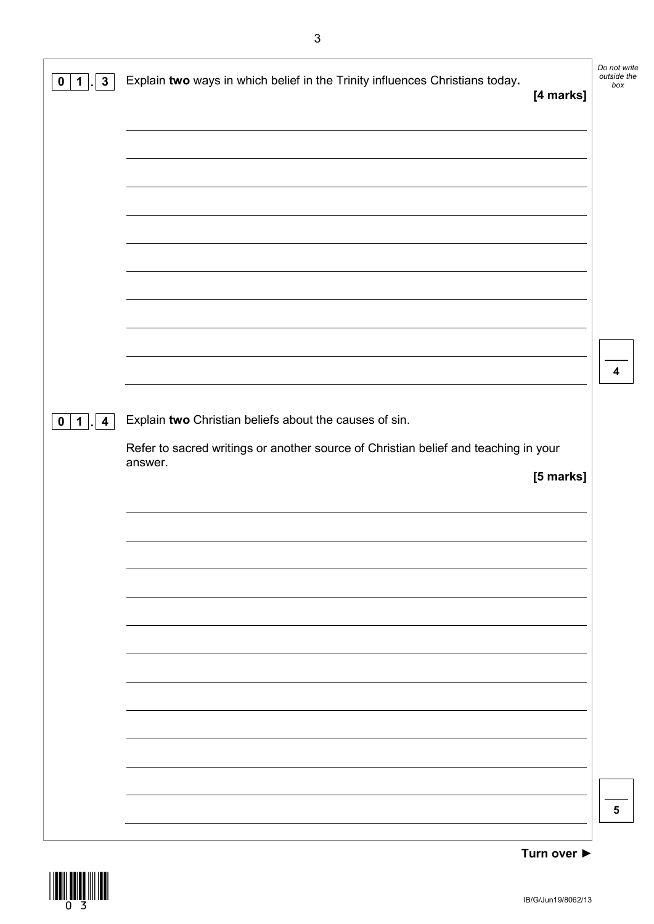| $\mathbf{3}$<br>$\bf{0}$<br>1.                            | Explain two ways in which belief in the Trinity influences Christians today.                                                                  | [4 marks] | Do not write<br>outside the<br>box |
|-----------------------------------------------------------|-----------------------------------------------------------------------------------------------------------------------------------------------|-----------|------------------------------------|
|                                                           |                                                                                                                                               |           |                                    |
|                                                           |                                                                                                                                               |           |                                    |
|                                                           |                                                                                                                                               |           |                                    |
|                                                           |                                                                                                                                               |           | 4                                  |
| $\overline{\mathbf{4}}$<br>$\mathbf 0$<br>$1 \mid$<br>- 1 | Explain two Christian beliefs about the causes of sin.<br>Refer to sacred writings or another source of Christian belief and teaching in your |           |                                    |
|                                                           | answer.                                                                                                                                       | [5 marks] |                                    |
|                                                           |                                                                                                                                               |           |                                    |
|                                                           |                                                                                                                                               |           |                                    |
|                                                           |                                                                                                                                               |           |                                    |
|                                                           |                                                                                                                                               |           |                                    |
|                                                           |                                                                                                                                               |           |                                    |

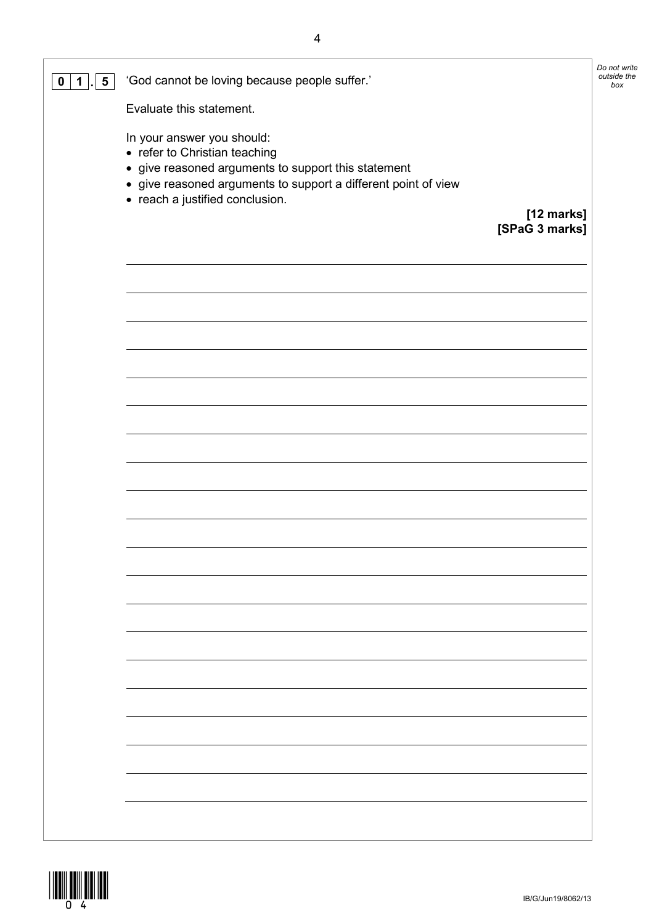| $5\phantom{.0}$<br>0<br>1 | 'God cannot be loving because people suffer.'                                                                                                                                                                           | Do not write<br>outside the<br>box |
|---------------------------|-------------------------------------------------------------------------------------------------------------------------------------------------------------------------------------------------------------------------|------------------------------------|
|                           | Evaluate this statement.                                                                                                                                                                                                |                                    |
|                           | In your answer you should:<br>• refer to Christian teaching<br>• give reasoned arguments to support this statement<br>• give reasoned arguments to support a different point of view<br>• reach a justified conclusion. |                                    |
|                           | [12 marks]                                                                                                                                                                                                              |                                    |
|                           | [SPaG 3 marks]                                                                                                                                                                                                          |                                    |
|                           |                                                                                                                                                                                                                         |                                    |
|                           |                                                                                                                                                                                                                         |                                    |
|                           |                                                                                                                                                                                                                         |                                    |
|                           |                                                                                                                                                                                                                         |                                    |
|                           |                                                                                                                                                                                                                         |                                    |
|                           |                                                                                                                                                                                                                         |                                    |
|                           |                                                                                                                                                                                                                         |                                    |
|                           |                                                                                                                                                                                                                         |                                    |
|                           |                                                                                                                                                                                                                         |                                    |
|                           |                                                                                                                                                                                                                         |                                    |
|                           |                                                                                                                                                                                                                         |                                    |
|                           |                                                                                                                                                                                                                         |                                    |
|                           |                                                                                                                                                                                                                         |                                    |
|                           |                                                                                                                                                                                                                         |                                    |
|                           |                                                                                                                                                                                                                         |                                    |
|                           |                                                                                                                                                                                                                         |                                    |
|                           |                                                                                                                                                                                                                         |                                    |
|                           |                                                                                                                                                                                                                         |                                    |
|                           |                                                                                                                                                                                                                         |                                    |
|                           |                                                                                                                                                                                                                         |                                    |
|                           |                                                                                                                                                                                                                         |                                    |
|                           |                                                                                                                                                                                                                         |                                    |
|                           |                                                                                                                                                                                                                         |                                    |
|                           |                                                                                                                                                                                                                         |                                    |

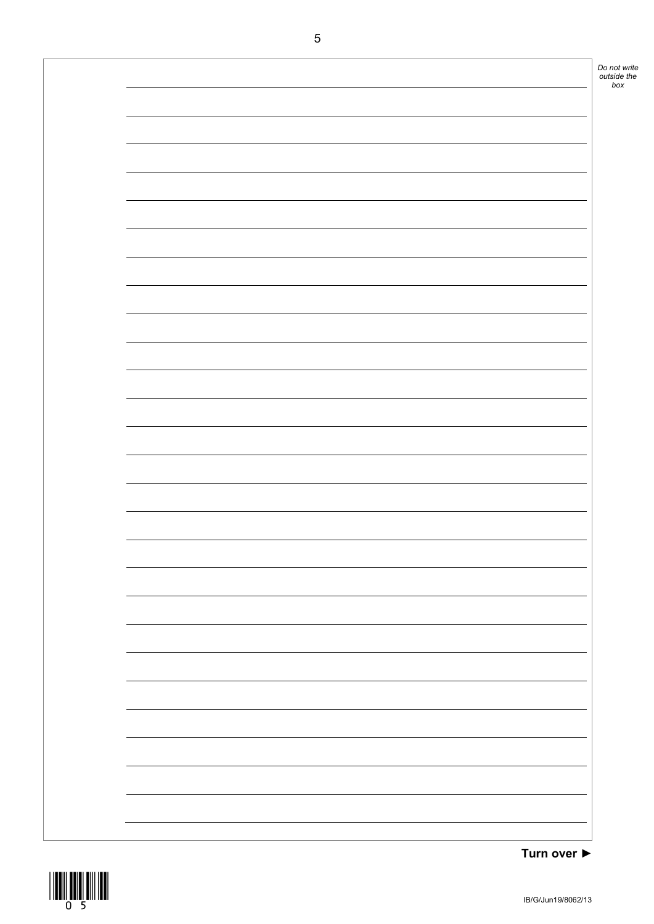

**Turn over ►**

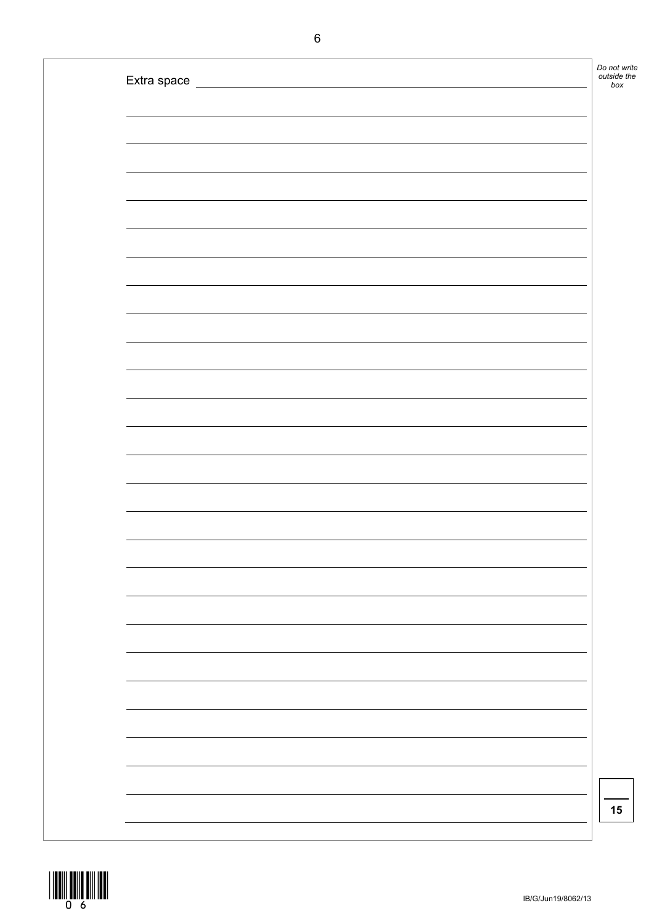|  | Do not write<br>outside the<br>box |
|--|------------------------------------|
|  |                                    |
|  |                                    |
|  |                                    |
|  |                                    |
|  |                                    |
|  |                                    |
|  |                                    |
|  |                                    |
|  |                                    |
|  |                                    |
|  |                                    |
|  |                                    |
|  |                                    |
|  |                                    |
|  |                                    |
|  |                                    |
|  |                                    |
|  |                                    |
|  | 15                                 |

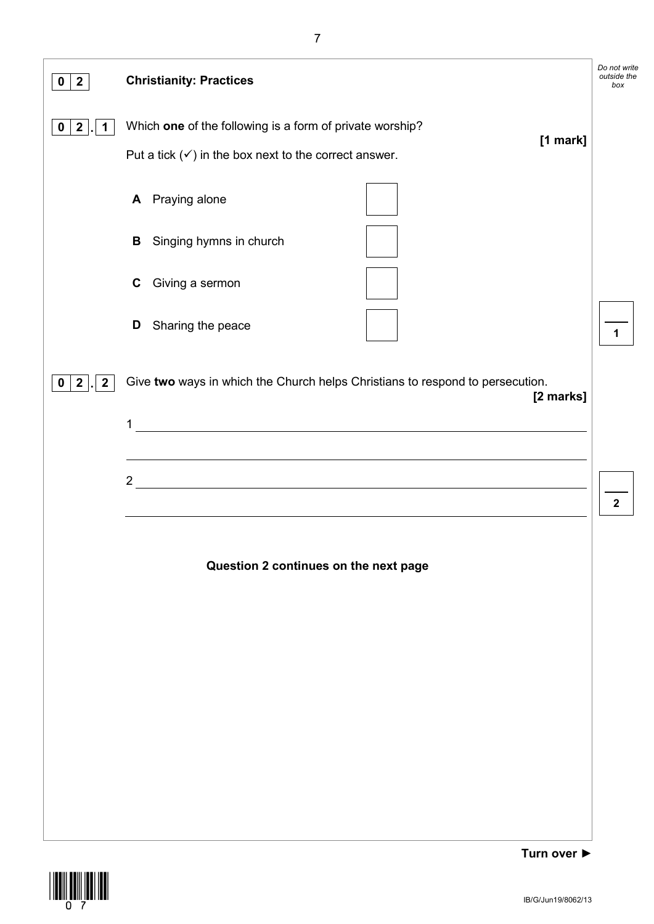| $\boldsymbol{2}$<br>$\mathbf 0$             | <b>Christianity: Practices</b>                                                                                                           | Do not write<br>outside the<br>box |
|---------------------------------------------|------------------------------------------------------------------------------------------------------------------------------------------|------------------------------------|
| $\mathbf{2}$<br>0<br>1                      | Which one of the following is a form of private worship?<br>[1 mark]<br>Put a tick $(\checkmark)$ in the box next to the correct answer. |                                    |
|                                             | A Praying alone                                                                                                                          |                                    |
|                                             | Singing hymns in church<br>В                                                                                                             |                                    |
|                                             | Giving a sermon<br>C                                                                                                                     |                                    |
|                                             | Sharing the peace<br>D                                                                                                                   | 1                                  |
| $\mathbf{2}$<br>$\mathbf{2}$<br>$\mathbf 0$ | Give two ways in which the Church helps Christians to respond to persecution.<br>[2 marks]                                               |                                    |
|                                             | <u> 1980 - Johann Stoff, fransk politik (d. 1980)</u><br>1                                                                               |                                    |
|                                             | <u> 1989 - Johann Stoff, deutscher Stoff, der Stoff, der Stoff, der Stoff, der Stoff, der Stoff, der Stoff, der S</u><br>$\overline{2}$  |                                    |
|                                             | Question 2 continues on the next page                                                                                                    | $\mathbf{2}$                       |
|                                             |                                                                                                                                          |                                    |
|                                             |                                                                                                                                          |                                    |
|                                             |                                                                                                                                          |                                    |
|                                             |                                                                                                                                          |                                    |

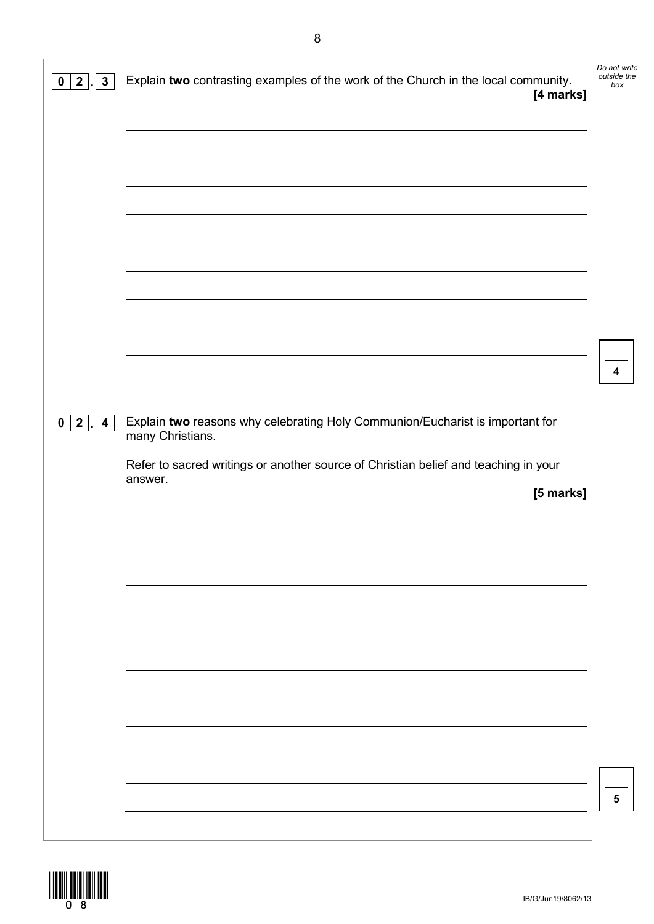| $\mathbf{3}$<br>$\mathbf{2}$<br>$\mathbf 0$ | Explain two contrasting examples of the work of the Church in the local community.  | Do not write<br>outside the<br>box |
|---------------------------------------------|-------------------------------------------------------------------------------------|------------------------------------|
|                                             | [4 marks]                                                                           |                                    |
|                                             |                                                                                     |                                    |
|                                             |                                                                                     |                                    |
|                                             |                                                                                     |                                    |
|                                             |                                                                                     |                                    |
|                                             |                                                                                     |                                    |
|                                             |                                                                                     |                                    |
|                                             |                                                                                     |                                    |
|                                             |                                                                                     |                                    |
|                                             |                                                                                     |                                    |
|                                             |                                                                                     |                                    |
|                                             |                                                                                     |                                    |
|                                             |                                                                                     |                                    |
|                                             |                                                                                     | 4                                  |
|                                             |                                                                                     |                                    |
| $0 \mid 2 \mid$<br>$\overline{\mathbf{4}}$  | Explain two reasons why celebrating Holy Communion/Eucharist is important for       |                                    |
|                                             | many Christians.                                                                    |                                    |
|                                             | Refer to sacred writings or another source of Christian belief and teaching in your |                                    |
|                                             | answer.                                                                             |                                    |
|                                             | [5 marks]                                                                           |                                    |
|                                             |                                                                                     |                                    |
|                                             |                                                                                     |                                    |
|                                             |                                                                                     |                                    |
|                                             |                                                                                     |                                    |
|                                             |                                                                                     |                                    |
|                                             |                                                                                     |                                    |
|                                             |                                                                                     |                                    |
|                                             |                                                                                     |                                    |
|                                             |                                                                                     |                                    |
|                                             |                                                                                     |                                    |
|                                             |                                                                                     |                                    |
|                                             |                                                                                     |                                    |
|                                             |                                                                                     |                                    |
|                                             |                                                                                     |                                    |
|                                             |                                                                                     | 5                                  |
|                                             |                                                                                     |                                    |

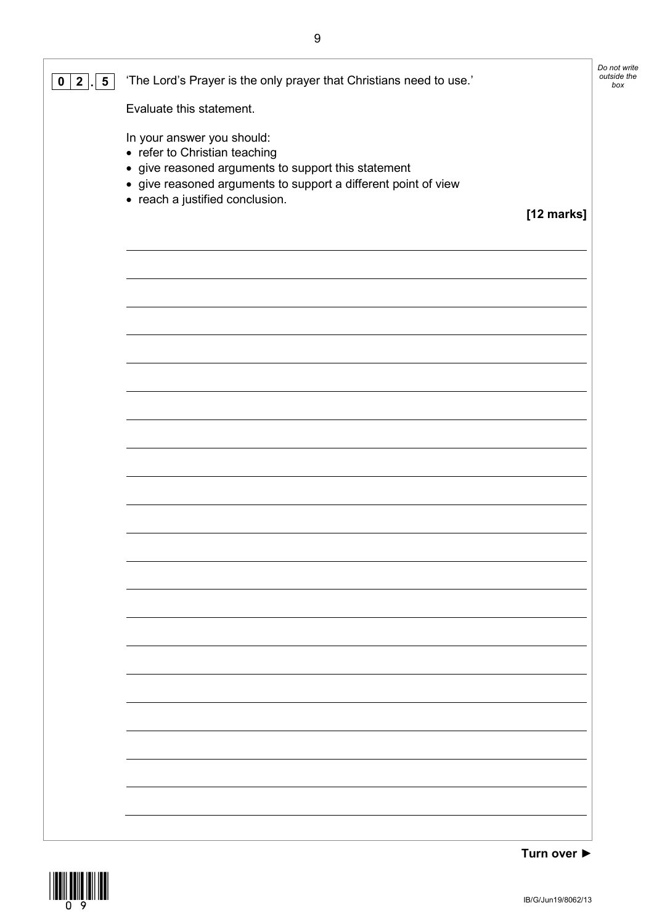|                                              |                                                                                                                                                                                                                         | Do not write       |
|----------------------------------------------|-------------------------------------------------------------------------------------------------------------------------------------------------------------------------------------------------------------------------|--------------------|
| $\mathbf{2}$<br>$\overline{\mathbf{5}}$<br>0 | 'The Lord's Prayer is the only prayer that Christians need to use.'                                                                                                                                                     | outside the<br>box |
|                                              | Evaluate this statement.                                                                                                                                                                                                |                    |
|                                              | In your answer you should:<br>• refer to Christian teaching<br>• give reasoned arguments to support this statement<br>• give reasoned arguments to support a different point of view<br>• reach a justified conclusion. |                    |
|                                              | [12 marks]                                                                                                                                                                                                              |                    |
|                                              |                                                                                                                                                                                                                         |                    |
|                                              |                                                                                                                                                                                                                         |                    |
|                                              |                                                                                                                                                                                                                         |                    |
|                                              |                                                                                                                                                                                                                         |                    |
|                                              |                                                                                                                                                                                                                         |                    |
|                                              |                                                                                                                                                                                                                         |                    |
|                                              |                                                                                                                                                                                                                         |                    |
|                                              |                                                                                                                                                                                                                         |                    |
|                                              |                                                                                                                                                                                                                         |                    |
|                                              |                                                                                                                                                                                                                         |                    |
|                                              |                                                                                                                                                                                                                         |                    |
|                                              |                                                                                                                                                                                                                         |                    |
|                                              |                                                                                                                                                                                                                         |                    |
|                                              |                                                                                                                                                                                                                         |                    |
|                                              |                                                                                                                                                                                                                         |                    |
|                                              |                                                                                                                                                                                                                         |                    |
|                                              |                                                                                                                                                                                                                         |                    |
|                                              |                                                                                                                                                                                                                         |                    |
|                                              |                                                                                                                                                                                                                         |                    |
|                                              |                                                                                                                                                                                                                         |                    |
|                                              |                                                                                                                                                                                                                         |                    |
|                                              |                                                                                                                                                                                                                         |                    |
|                                              |                                                                                                                                                                                                                         |                    |
|                                              |                                                                                                                                                                                                                         |                    |
|                                              |                                                                                                                                                                                                                         |                    |
|                                              |                                                                                                                                                                                                                         |                    |
|                                              |                                                                                                                                                                                                                         |                    |
|                                              |                                                                                                                                                                                                                         |                    |

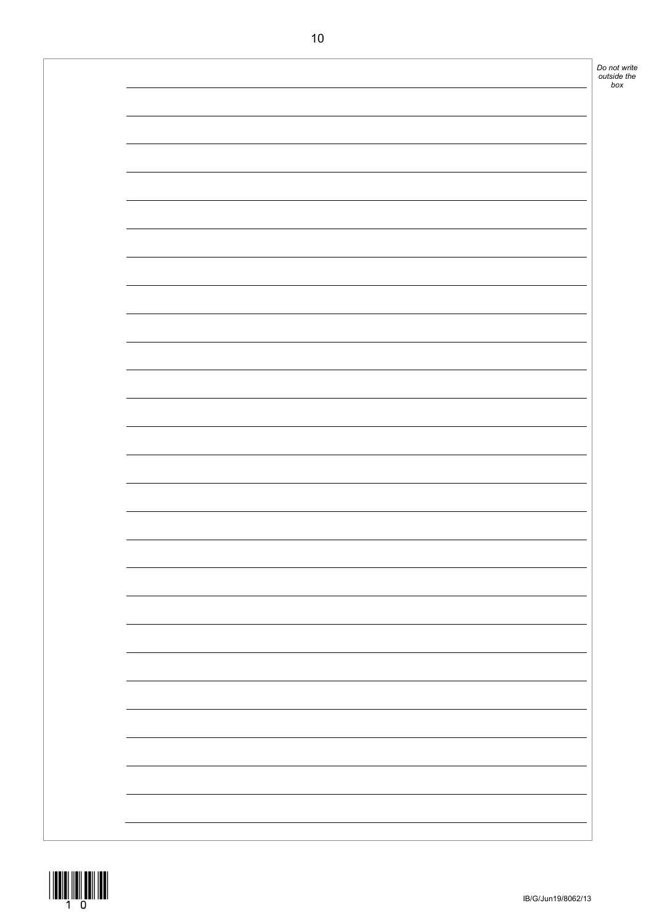

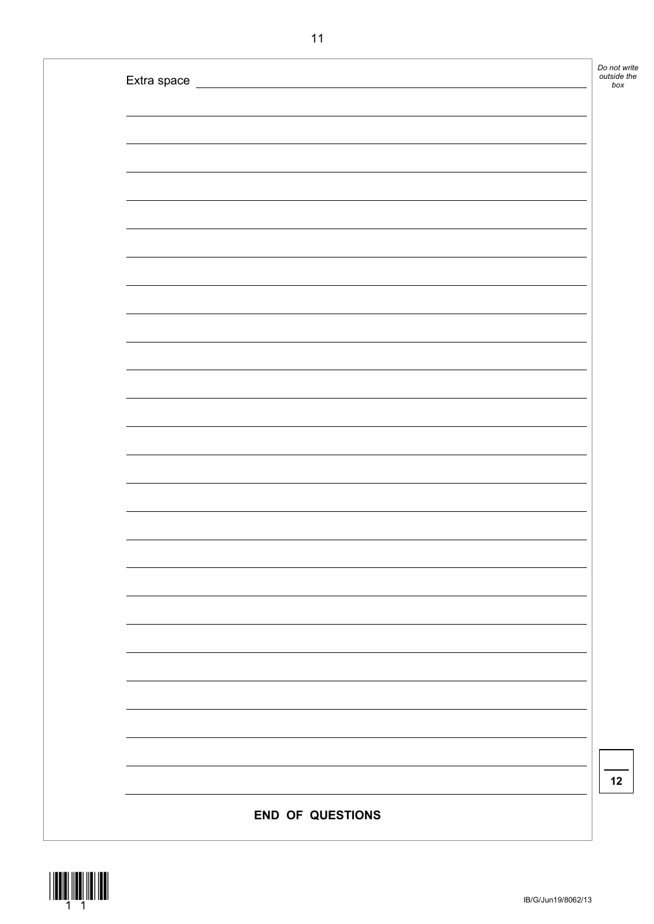| IB/G/Jun19/8062/13 |  |
|--------------------|--|
|--------------------|--|

| IB/G/Jun19/8062/13 |
|--------------------|
|                    |

| Extra space             | Do not write<br>outside the<br>box |
|-------------------------|------------------------------------|
|                         |                                    |
|                         |                                    |
|                         |                                    |
|                         |                                    |
|                         |                                    |
|                         |                                    |
|                         |                                    |
|                         |                                    |
|                         |                                    |
|                         |                                    |
|                         |                                    |
|                         |                                    |
|                         |                                    |
|                         |                                    |
|                         |                                    |
|                         |                                    |
|                         |                                    |
|                         |                                    |
|                         |                                    |
|                         | 12                                 |
| <b>END OF QUESTIONS</b> |                                    |
|                         |                                    |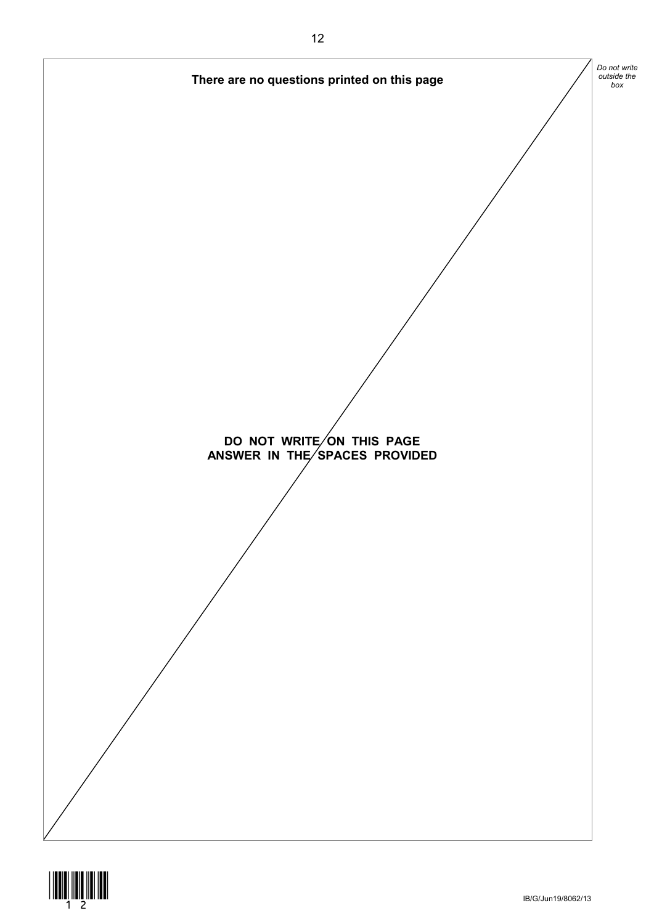

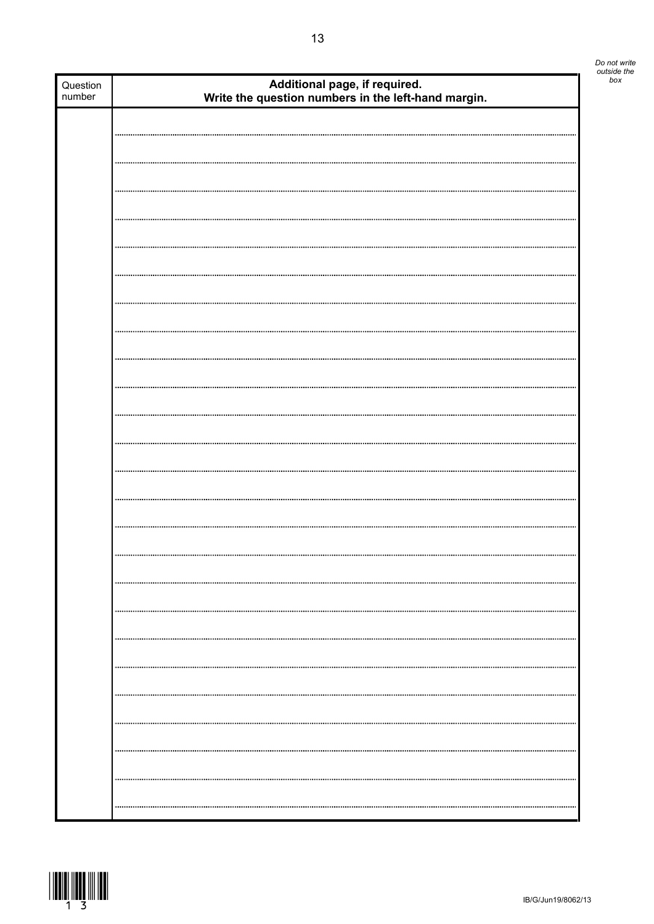| Do not write<br>outside the |
|-----------------------------|
| box                         |
|                             |

| Question |                                                                                      |
|----------|--------------------------------------------------------------------------------------|
| number   | Additional page, if required.<br>Write the question numbers in the left-hand margin. |
|          |                                                                                      |
|          |                                                                                      |
|          |                                                                                      |
|          |                                                                                      |
|          |                                                                                      |
|          |                                                                                      |
|          |                                                                                      |
|          |                                                                                      |
|          |                                                                                      |
|          |                                                                                      |
|          |                                                                                      |
|          |                                                                                      |
|          |                                                                                      |
|          |                                                                                      |
|          |                                                                                      |
|          |                                                                                      |
|          |                                                                                      |
|          |                                                                                      |
|          |                                                                                      |
|          |                                                                                      |
|          |                                                                                      |
|          |                                                                                      |
|          |                                                                                      |
|          |                                                                                      |
|          |                                                                                      |
|          |                                                                                      |
|          |                                                                                      |
|          |                                                                                      |
|          |                                                                                      |
|          |                                                                                      |
|          |                                                                                      |
|          |                                                                                      |
|          |                                                                                      |
|          |                                                                                      |
|          |                                                                                      |
|          |                                                                                      |
|          |                                                                                      |
|          |                                                                                      |
|          |                                                                                      |
|          |                                                                                      |
|          |                                                                                      |
|          |                                                                                      |
|          |                                                                                      |
|          |                                                                                      |
|          |                                                                                      |
|          |                                                                                      |
|          |                                                                                      |

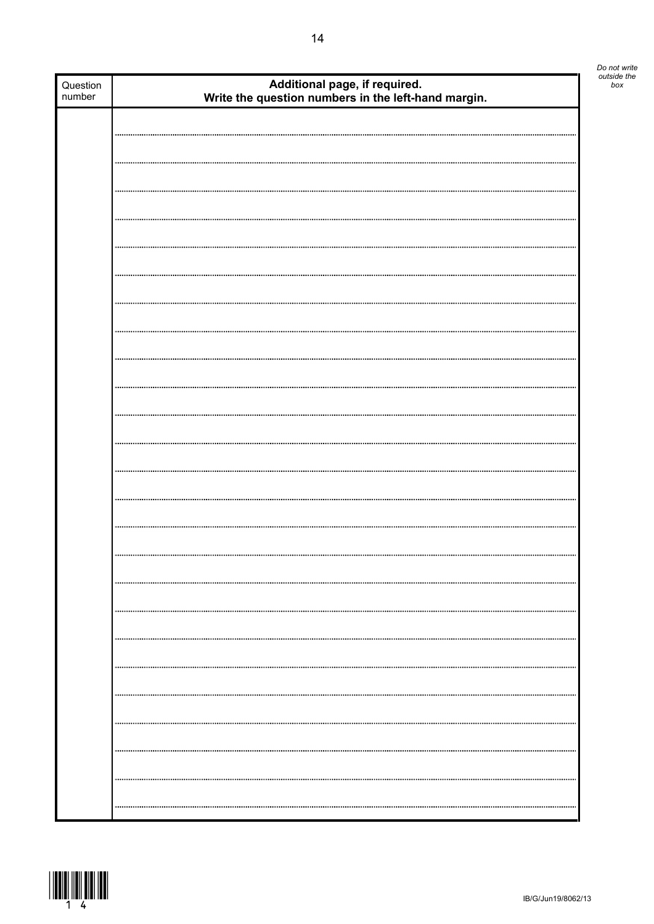| Question<br>number | Additional page, if required.<br>Write the question numbers in the left-hand margin. | outside<br>bo |
|--------------------|--------------------------------------------------------------------------------------|---------------|
|                    |                                                                                      |               |
|                    |                                                                                      |               |
|                    |                                                                                      |               |
|                    |                                                                                      |               |
|                    |                                                                                      |               |
|                    |                                                                                      |               |
|                    |                                                                                      |               |
|                    |                                                                                      |               |
|                    |                                                                                      |               |
|                    |                                                                                      |               |
|                    |                                                                                      |               |
|                    |                                                                                      |               |
|                    |                                                                                      |               |
|                    |                                                                                      |               |
|                    |                                                                                      |               |
|                    |                                                                                      |               |
|                    |                                                                                      |               |
|                    |                                                                                      |               |
|                    |                                                                                      |               |
|                    |                                                                                      |               |
|                    |                                                                                      |               |
|                    |                                                                                      |               |
|                    |                                                                                      |               |
|                    |                                                                                      |               |
|                    |                                                                                      |               |
|                    |                                                                                      |               |
|                    |                                                                                      |               |
|                    |                                                                                      |               |
|                    |                                                                                      |               |
|                    |                                                                                      |               |
|                    |                                                                                      |               |
|                    |                                                                                      |               |
|                    |                                                                                      |               |
|                    |                                                                                      |               |



*Do not write outside the*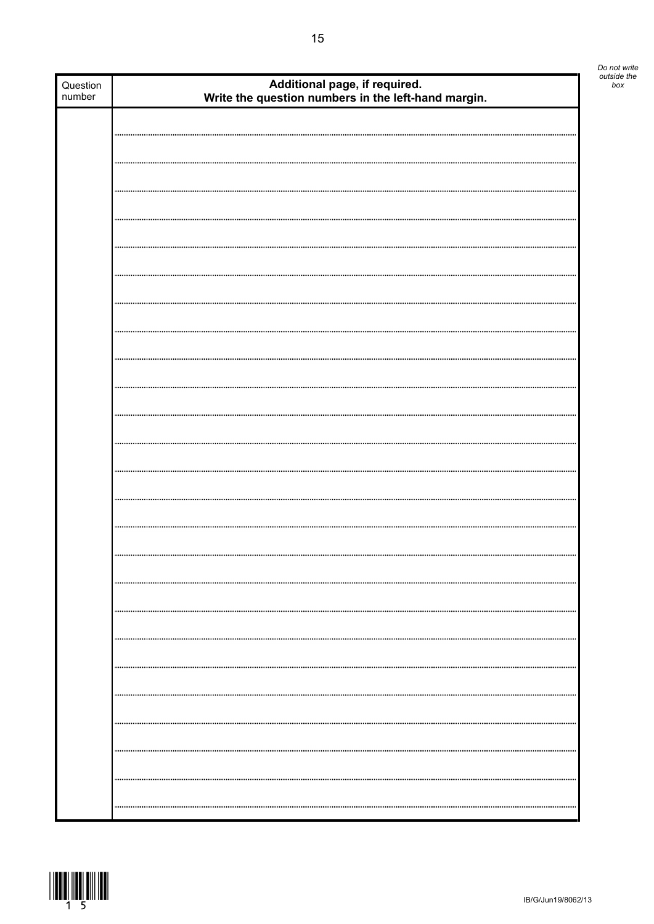| Question<br>number | Additional page, if required.<br>Write the question numbers in the left-hand margin. | outside<br>bo) |
|--------------------|--------------------------------------------------------------------------------------|----------------|
|                    |                                                                                      |                |
|                    |                                                                                      |                |
|                    |                                                                                      |                |
|                    |                                                                                      |                |
|                    |                                                                                      |                |
|                    |                                                                                      |                |
|                    |                                                                                      |                |
|                    |                                                                                      |                |
|                    |                                                                                      |                |
|                    |                                                                                      |                |
|                    |                                                                                      |                |
|                    |                                                                                      |                |
|                    |                                                                                      |                |
|                    |                                                                                      |                |
|                    |                                                                                      |                |
|                    |                                                                                      |                |
|                    |                                                                                      |                |
|                    |                                                                                      |                |
|                    |                                                                                      |                |
|                    |                                                                                      |                |
|                    |                                                                                      |                |
|                    |                                                                                      |                |
|                    |                                                                                      |                |
|                    |                                                                                      |                |
|                    |                                                                                      |                |
|                    |                                                                                      |                |
|                    |                                                                                      |                |
|                    |                                                                                      |                |
|                    |                                                                                      |                |
|                    |                                                                                      |                |
|                    |                                                                                      |                |



*Do not write outside the*